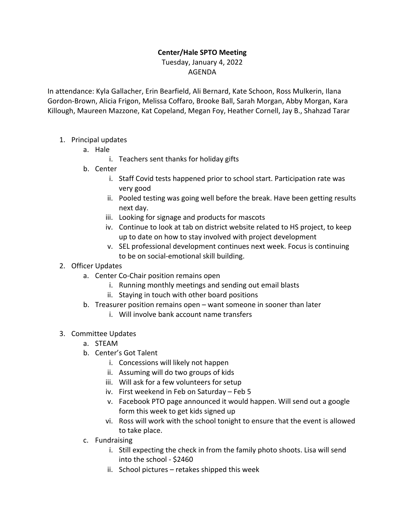## **Center/Hale SPTO Meeting**

## Tuesday, January 4, 2022 AGENDA

In attendance: Kyla Gallacher, Erin Bearfield, Ali Bernard, Kate Schoon, Ross Mulkerin, Ilana Gordon-Brown, Alicia Frigon, Melissa Coffaro, Brooke Ball, Sarah Morgan, Abby Morgan, Kara Killough, Maureen Mazzone, Kat Copeland, Megan Foy, Heather Cornell, Jay B., Shahzad Tarar

- 1. Principal updates
	- a. Hale
		- i. Teachers sent thanks for holiday gifts
	- b. Center
		- i. Staff Covid tests happened prior to school start. Participation rate was very good
		- ii. Pooled testing was going well before the break. Have been getting results next day.
		- iii. Looking for signage and products for mascots
		- iv. Continue to look at tab on district website related to HS project, to keep up to date on how to stay involved with project development
		- v. SEL professional development continues next week. Focus is continuing to be on social-emotional skill building.

## 2. Officer Updates

- a. Center Co-Chair position remains open
	- i. Running monthly meetings and sending out email blasts
	- ii. Staying in touch with other board positions
- b. Treasurer position remains open want someone in sooner than later
	- i. Will involve bank account name transfers
- 3. Committee Updates
	- a. STEAM
	- b. Center's Got Talent
		- i. Concessions will likely not happen
		- ii. Assuming will do two groups of kids
		- iii. Will ask for a few volunteers for setup
		- iv. First weekend in Feb on Saturday Feb 5
		- v. Facebook PTO page announced it would happen. Will send out a google form this week to get kids signed up
		- vi. Ross will work with the school tonight to ensure that the event is allowed to take place.
	- c. Fundraising
		- i. Still expecting the check in from the family photo shoots. Lisa will send into the school - \$2460
		- ii. School pictures retakes shipped this week